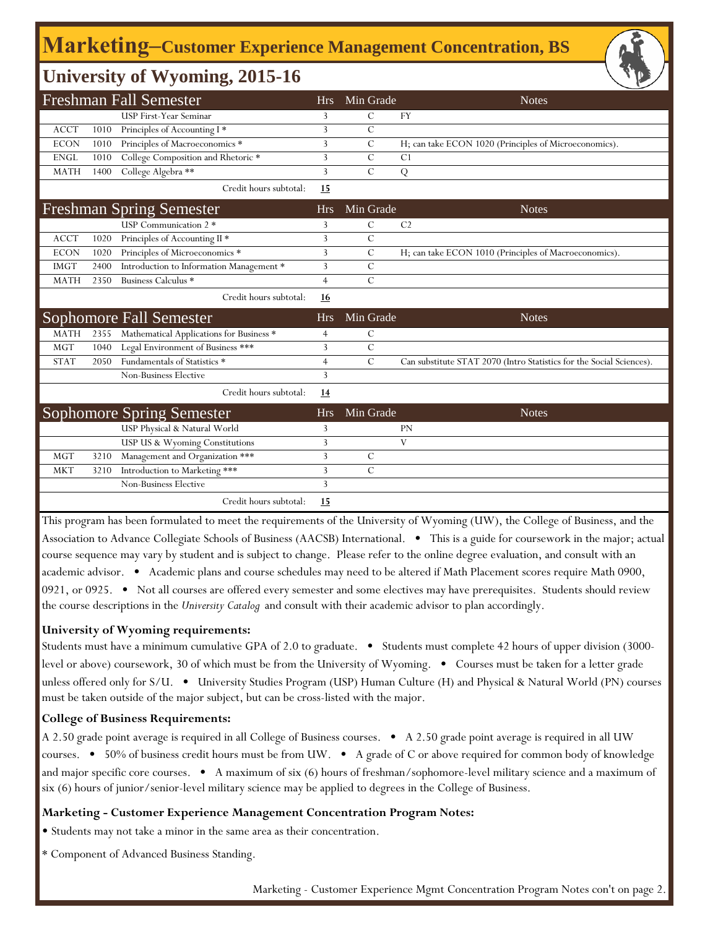## **Marketing‒Customer Experience Management Concentration, BS**

## **University of Wyoming, 2015-16**

|             |      | <b>Freshman Fall Semester</b>            | <b>Hrs</b>     | Min Grade      | <b>Notes</b>                                                         |
|-------------|------|------------------------------------------|----------------|----------------|----------------------------------------------------------------------|
|             |      | <b>USP First-Year Seminar</b>            | 3              | C              | <b>FY</b>                                                            |
| <b>ACCT</b> | 1010 | Principles of Accounting I*              | 3              | $\mathcal{C}$  |                                                                      |
| <b>ECON</b> | 1010 | Principles of Macroeconomics *           | 3              | $\mathcal{C}$  | H; can take ECON 1020 (Principles of Microeconomics).                |
| <b>ENGL</b> | 1010 | College Composition and Rhetoric *       | 3              | $\mathcal{C}$  | C <sub>1</sub>                                                       |
| <b>MATH</b> | 1400 | College Algebra **                       | 3              | $\overline{C}$ | ${\bf Q}$                                                            |
|             |      | Credit hours subtotal:                   | 15             |                |                                                                      |
|             |      | <b>Freshman Spring Semester</b>          | <b>Hrs</b>     | Min Grade      | <b>Notes</b>                                                         |
|             |      | USP Communication 2 *                    | 3              | C              | C <sub>2</sub>                                                       |
| <b>ACCT</b> | 1020 | Principles of Accounting II *            | 3              | $\mathcal{C}$  |                                                                      |
| <b>ECON</b> | 1020 | Principles of Microeconomics *           | 3              | $\mathcal{C}$  | H; can take ECON 1010 (Principles of Macroeconomics).                |
| <b>IMGT</b> | 2400 | Introduction to Information Management * | 3              | C              |                                                                      |
| <b>MATH</b> | 2350 | Business Calculus *                      | $\overline{4}$ | $\mathcal{C}$  |                                                                      |
|             |      | Credit hours subtotal:                   | 16             |                |                                                                      |
|             |      | <b>Sophomore Fall Semester</b>           | <b>Hrs</b>     | Min Grade      | <b>Notes</b>                                                         |
| <b>MATH</b> | 2355 | Mathematical Applications for Business * | 4              | С              |                                                                      |
| <b>MGT</b>  | 1040 | Legal Environment of Business ***        | 3              | $\mathcal{C}$  |                                                                      |
| <b>STAT</b> | 2050 | Fundamentals of Statistics *             | $\overline{4}$ | $\mathcal{C}$  | Can substitute STAT 2070 (Intro Statistics for the Social Sciences). |
|             |      | Non-Business Elective                    | 3              |                |                                                                      |
|             |      | Credit hours subtotal:                   | 14             |                |                                                                      |
|             |      | <b>Sophomore Spring Semester</b>         | <b>Hrs</b>     | Min Grade      | <b>Notes</b>                                                         |
|             |      | USP Physical & Natural World             | 3              |                | <b>PN</b>                                                            |
|             |      | USP US & Wyoming Constitutions           | 3              |                | V                                                                    |
| <b>MGT</b>  | 3210 | Management and Organization ***          | 3              | $\mathcal{C}$  |                                                                      |
| <b>MKT</b>  | 3210 | Introduction to Marketing ***            | 3              | $\mathcal{C}$  |                                                                      |
|             |      | Non-Business Elective                    | 3              |                |                                                                      |
|             |      | Credit hours subtotal:                   | 15             |                |                                                                      |

This program has been formulated to meet the requirements of the University of Wyoming (UW), the College of Business, and the Association to Advance Collegiate Schools of Business (AACSB) International. • This is a guide for coursework in the major; actual course sequence may vary by student and is subject to change. Please refer to the online degree evaluation, and consult with an academic advisor. • Academic plans and course schedules may need to be altered if Math Placement scores require Math 0900, 0921, or 0925. • Not all courses are offered every semester and some electives may have prerequisites. Students should review the course descriptions in the *University Catalog* and consult with their academic advisor to plan accordingly.

#### **University of Wyoming requirements:**

Students must have a minimum cumulative GPA of 2.0 to graduate. • Students must complete 42 hours of upper division (3000 level or above) coursework, 30 of which must be from the University of Wyoming. • Courses must be taken for a letter grade unless offered only for S/U. • University Studies Program (USP) Human Culture (H) and Physical & Natural World (PN) courses must be taken outside of the major subject, but can be cross-listed with the major.

#### **College of Business Requirements:**

A 2.50 grade point average is required in all College of Business courses. • A 2.50 grade point average is required in all UW courses. • 50% of business credit hours must be from UW. • A grade of C or above required for common body of knowledge and major specific core courses. • A maximum of six (6) hours of freshman/sophomore-level military science and a maximum of six (6) hours of junior/senior-level military science may be applied to degrees in the College of Business.

#### **Marketing - Customer Experience Management Concentration Program Notes:**

• Students may not take a minor in the same area as their concentration.

\* Component of Advanced Business Standing.

Marketing - Customer Experience Mgmt Concentration Program Notes con't on page 2.